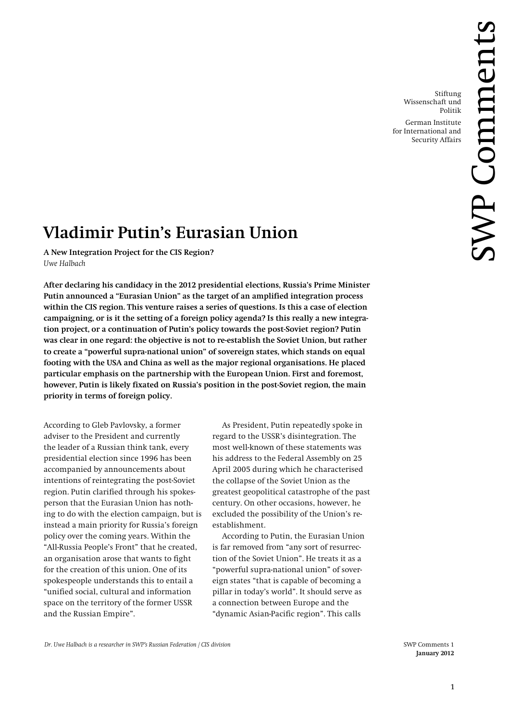Stiftung Wissenschaft und Politik German Institute for International and

Security Affairs

# **Vladimir Putin's Eurasian Union**

**A New Integration Project for the CIS Region?** *Uwe Halbach*

**After declaring his candidacy in the 2012 presidential elections, Russia's Prime Minister Putin announced a "Eurasian Union" as the target of an amplified integration process within the CIS region. This venture raises a series of questions. Is this a case of election campaigning, or is it the setting of a foreign policy agenda? Is this really a new integration project, or a continuation of Putin's policy towards the post-Soviet region? Putin was clear in one regard: the objective is not to re-establish the Soviet Union, but rather to create a "powerful supra-national union" of sovereign states, which stands on equal footing with the USA and China as well as the major regional organisations. He placed particular emphasis on the partnership with the European Union. First and foremost, however, Putin is likely fixated on Russia's position in the post-Soviet region, the main priority in terms of foreign policy.**

According to Gleb Pavlovsky, a former adviser to the President and currently the leader of a Russian think tank, every presidential election since 1996 has been accompanied by announcements about intentions of reintegrating the post-Soviet region. Putin clarified through his spokesperson that the Eurasian Union has nothing to do with the election campaign, but is instead a main priority for Russia's foreign policy over the coming years. Within the "All-Russia People's Front" that he created, an organisation arose that wants to fight for the creation of this union. One of its spokespeople understands this to entail a "unified social, cultural and information space on the territory of the former USSR and the Russian Empire".

As President, Putin repeatedly spoke in regard to the USSR's disintegration. The most well-known of these statements was his address to the Federal Assembly on 25 April 2005 during which he characterised the collapse of the Soviet Union as the greatest geopolitical catastrophe of the past century. On other occasions, however, he excluded the possibility of the Union's reestablishment.

According to Putin, the Eurasian Union is far removed from "any sort of resurrection of the Soviet Union". He treats it as a "powerful supra-national union" of sovereign states "that is capable of becoming a pillar in today's world". It should serve as a connection between Europe and the "dynamic Asian-Pacific region". This calls

**January 2012**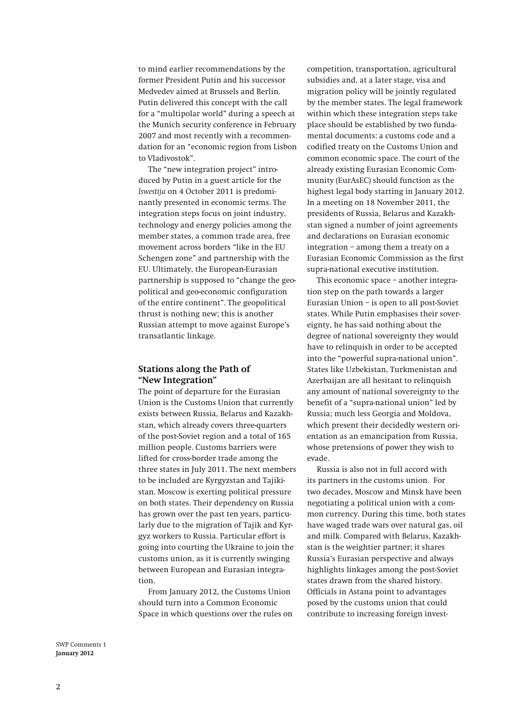to mind earlier recommendations by the former President Putin and his successor Medvedev aimed at Brussels and Berlin. Putin delivered this concept with the call for a "multipolar world" during a speech at the Munich security conference in February 2007 and most recently with a recommendation for an "economic region from Lisbon to Vladivostok".

The "new integration project" introduced by Putin in a guest article for the *Iswestija* on 4 October 2011 is predominantly presented in economic terms. The integration steps focus on joint industry, technology and energy policies among the member states, a common trade area, free movement across borders "like in the EU Schengen zone" and partnership with the EU. Ultimately, the European-Eurasian partnership is supposed to "change the geopolitical and geo-economic configuration of the entire continent". The geopolitical thrust is nothing new; this is another Russian attempt to move against Europe's transatlantic linkage.

### **Stations along the Path of "New Integration"**

The point of departure for the Eurasian Union is the Customs Union that currently exists between Russia, Belarus and Kazakhstan, which already covers three-quarters of the post-Soviet region and a total of 165 million people. Customs barriers were lifted for cross-border trade among the three states in July 2011. The next members to be included are Kyrgyzstan and Tajikistan. Moscow is exerting political pressure on both states. Their dependency on Russia has grown over the past ten years, particularly due to the migration of Tajik and Kyrgyz workers to Russia. Particular effort is going into courting the Ukraine to join the customs union, as it is currently swinging between European and Eurasian integration.

From January 2012, the Customs Union should turn into a Common Economic Space in which questions over the rules on

competition, transportation, agricultural subsidies and, at a later stage, visa and migration policy will be jointly regulated by the member states. The legal framework within which these integration steps take place should be established by two fundamental documents: a customs code and a codified treaty on the Customs Union and common economic space. The court of the already existing Eurasian Economic Community (EurAsEC) should function as the highest legal body starting in January 2012. In a meeting on 18 November 2011, the presidents of Russia, Belarus and Kazakhstan signed a number of joint agreements and declarations on Eurasian economic integration – among them a treaty on a Eurasian Economic Commission as the first supra-national executive institution.

This economic space – another integration step on the path towards a larger Eurasian Union – is open to all post-Soviet states. While Putin emphasises their sovereignty, he has said nothing about the degree of national sovereignty they would have to relinquish in order to be accepted into the "powerful supra-national union". States like Uzbekistan, Turkmenistan and Azerbaijan are all hesitant to relinquish any amount of national sovereignty to the benefit of a "supra-national union" led by Russia; much less Georgia and Moldova, which present their decidedly western orientation as an emancipation from Russia, whose pretensions of power they wish to evade.

Russia is also not in full accord with its partners in the customs union. For two decades, Moscow and Minsk have been negotiating a political union with a common currency. During this time, both states have waged trade wars over natural gas, oil and milk. Compared with Belarus, Kazakhstan is the weightier partner; it shares Russia's Eurasian perspective and always highlights linkages among the post-Soviet states drawn from the shared history. Officials in Astana point to advantages posed by the customs union that could contribute to increasing foreign invest-

SWP Comments 1 **January 2012**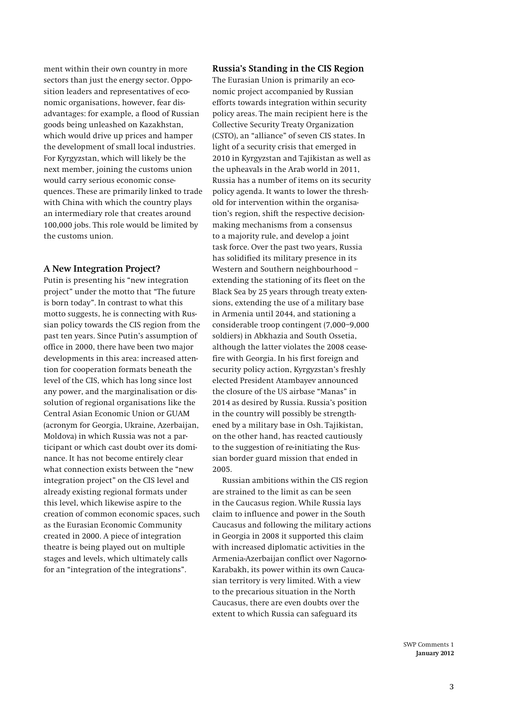ment within their own country in more sectors than just the energy sector. Opposition leaders and representatives of economic organisations, however, fear disadvantages: for example, a flood of Russian goods being unleashed on Kazakhstan, which would drive up prices and hamper the development of small local industries. For Kyrgyzstan, which will likely be the next member, joining the customs union would carry serious economic consequences. These are primarily linked to trade with China with which the country plays an intermediary role that creates around 100,000 jobs. This role would be limited by the customs union.

### **A New Integration Project?**

Putin is presenting his "new integration project" under the motto that "The future is born today". In contrast to what this motto suggests, he is connecting with Russian policy towards the CIS region from the past ten years. Since Putin's assumption of office in 2000, there have been two major developments in this area: increased attention for cooperation formats beneath the level of the CIS, which has long since lost any power, and the marginalisation or dissolution of regional organisations like the Central Asian Economic Union or GUAM (acronym for Georgia, Ukraine, Azerbaijan, Moldova) in which Russia was not a participant or which cast doubt over its dominance. It has not become entirely clear what connection exists between the "new integration project" on the CIS level and already existing regional formats under this level, which likewise aspire to the creation of common economic spaces, such as the Eurasian Economic Community created in 2000. A piece of integration theatre is being played out on multiple stages and levels, which ultimately calls for an "integration of the integrations".

#### **Russia's Standing in the CIS Region**

The Eurasian Union is primarily an economic project accompanied by Russian efforts towards integration within security policy areas. The main recipient here is the Collective Security Treaty Organization (CSTO), an "alliance" of seven CIS states. In light of a security crisis that emerged in 2010 in Kyrgyzstan and Tajikistan as well as the upheavals in the Arab world in 2011, Russia has a number of items on its security policy agenda. It wants to lower the threshold for intervention within the organisation's region, shift the respective decisionmaking mechanisms from a consensus to a majority rule, and develop a joint task force. Over the past two years, Russia has solidified its military presence in its Western and Southern neighbourhood – extending the stationing of its fleet on the Black Sea by 25 years through treaty extensions, extending the use of a military base in Armenia until 2044, and stationing a considerable troop contingent (7,000–9,000 soldiers) in Abkhazia and South Ossetia, although the latter violates the 2008 ceasefire with Georgia. In his first foreign and security policy action, Kyrgyzstan's freshly elected President Atambayev announced the closure of the US airbase "Manas" in 2014 as desired by Russia. Russia's position in the country will possibly be strengthened by a military base in Osh. Tajikistan, on the other hand, has reacted cautiously to the suggestion of re-initiating the Russian border guard mission that ended in 2005.

Russian ambitions within the CIS region are strained to the limit as can be seen in the Caucasus region. While Russia lays claim to influence and power in the South Caucasus and following the military actions in Georgia in 2008 it supported this claim with increased diplomatic activities in the Armenia-Azerbaijan conflict over Nagorno-Karabakh, its power within its own Caucasian territory is very limited. With a view to the precarious situation in the North Caucasus, there are even doubts over the extent to which Russia can safeguard its

> SWP Comments 1 **January 2012**